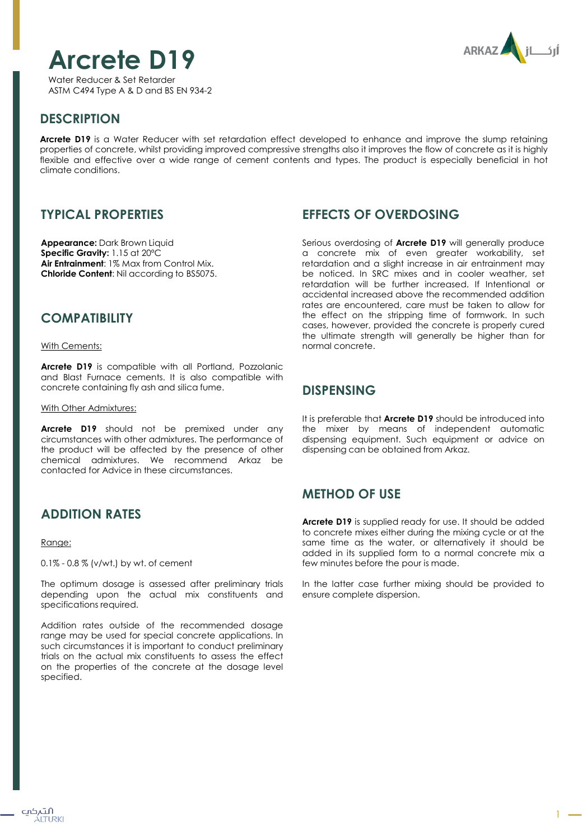

ARKAZ

Water Reducer & Set Retarder ASTM C494 Type A & D and BS EN 934-2

# **DESCRIPTION**

**Arcrete D19** is a Water Reducer with set retardation effect developed to enhance and improve the slump retaining properties of concrete, whilst providing improved compressive strengths also it improves the flow of concrete as it is highly flexible and effective over a wide range of cement contents and types. The product is especially beneficial in hot climate conditions.

# **TYPICAL PROPERTIES**

**Appearance:** Dark Brown Liquid **Specific Gravity:** 1.15 at 20ºC **Air Entrainment**: 1% Max from Control Mix. **Chloride Content**: Nil according to BS5075.

## **COMPATIBILITY**

With Cements:

**Arcrete D19** is compatible with all Portland, Pozzolanic and Blast Furnace cements. It is also compatible with concrete containing fly ash and silica fume.

#### With Other Admixtures:

**Arcrete D19** should not be premixed under any circumstances with other admixtures. The performance of the product will be affected by the presence of other chemical admixtures. We recommend Arkaz be contacted for Advice in these circumstances.

# **ADDITION RATES**

#### Range:

0.1% - 0.8 % (v/wt.) by wt. of cement

The optimum dosage is assessed after preliminary trials depending upon the actual mix constituents and specifications required.

Addition rates outside of the recommended dosage range may be used for special concrete applications. In such circumstances it is important to conduct preliminary trials on the actual mix constituents to assess the effect on the properties of the concrete at the dosage level specified.

## **EFFECTS OF OVERDOSING**

Serious overdosing of **Arcrete D19** will generally produce a concrete mix of even greater workability, set retardation and a slight increase in air entrainment may be noticed. In SRC mixes and in cooler weather, set retardation will be further increased. If Intentional or accidental increased above the recommended addition rates are encountered, care must be taken to allow for the effect on the stripping time of formwork. In such cases, however, provided the concrete is properly cured the ultimate strength will generally be higher than for normal concrete.

### **DISPENSING**

It is preferable that **Arcrete D19** should be introduced into the mixer by means of independent automatic dispensing equipment. Such equipment or advice on dispensing can be obtained from Arkaz.

# **METHOD OF USE**

**Arcrete D19** is supplied ready for use. It should be added to concrete mixes either during the mixing cycle or at the same time as the water, or alternatively it should be added in its supplied form to a normal concrete mix a few minutes before the pour is made.

In the latter case further mixing should be provided to ensure complete dispersion.